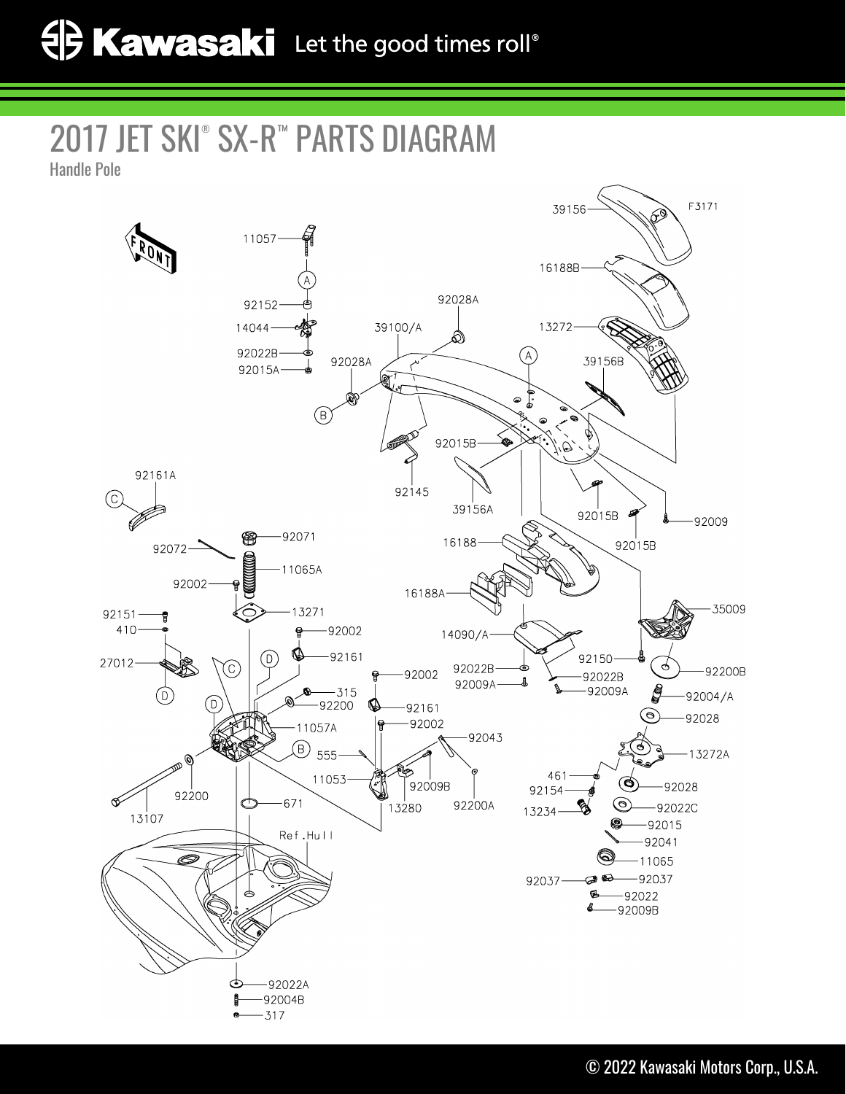## 2017 JET SKI® SX-R™ PARTS DIAGRAM

Handle Pole

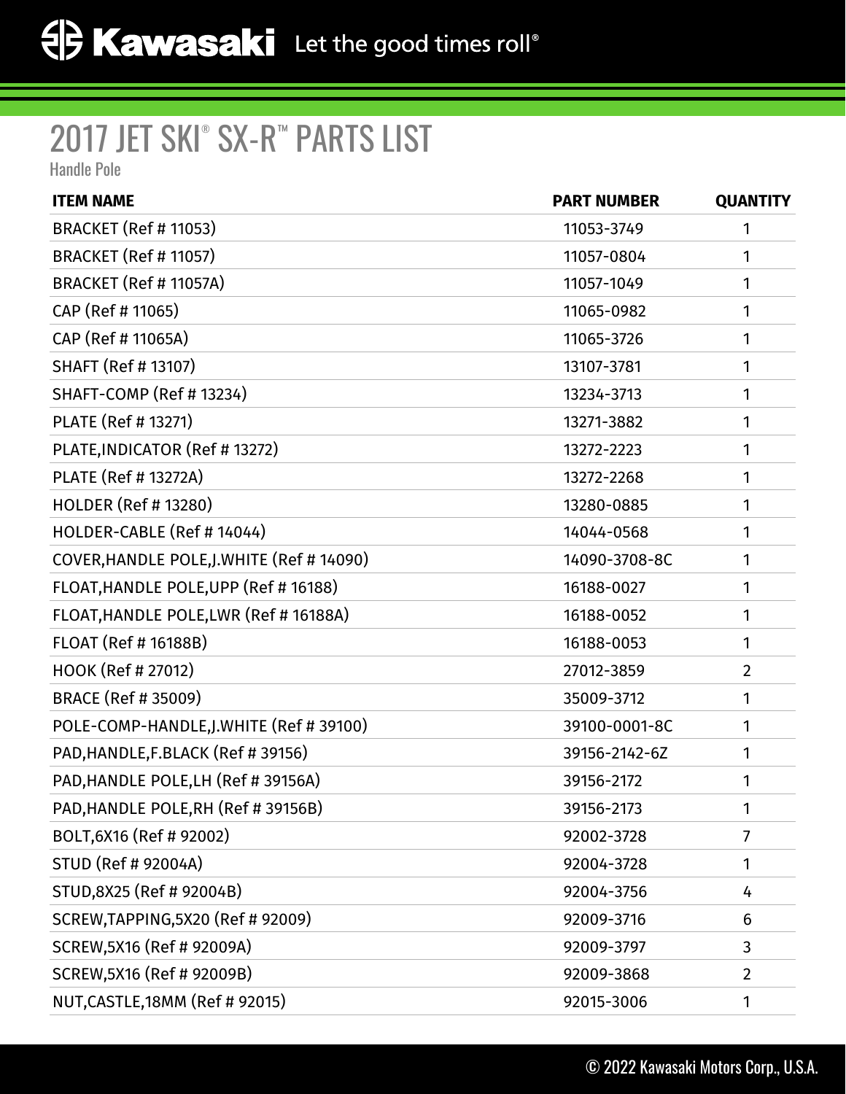## 2017 JET SKI® SX-R™ PARTS LIST

Handle Pole

| <b>ITEM NAME</b>                           | <b>PART NUMBER</b> | <b>QUANTITY</b> |
|--------------------------------------------|--------------------|-----------------|
| <b>BRACKET (Ref # 11053)</b>               | 11053-3749         | 1               |
| <b>BRACKET (Ref # 11057)</b>               | 11057-0804         | 1               |
| BRACKET (Ref # 11057A)                     | 11057-1049         | 1               |
| CAP (Ref # 11065)                          | 11065-0982         | 1               |
| CAP (Ref # 11065A)                         | 11065-3726         | 1               |
| SHAFT (Ref # 13107)                        | 13107-3781         | 1               |
| SHAFT-COMP (Ref # 13234)                   | 13234-3713         | 1               |
| PLATE (Ref # 13271)                        | 13271-3882         | 1               |
| PLATE, INDICATOR (Ref # 13272)             | 13272-2223         | 1               |
| PLATE (Ref # 13272A)                       | 13272-2268         | 1               |
| <b>HOLDER (Ref # 13280)</b>                | 13280-0885         | 1               |
| HOLDER-CABLE (Ref # 14044)                 | 14044-0568         | 1               |
| COVER, HANDLE POLE, J. WHITE (Ref # 14090) | 14090-3708-8C      | 1               |
| FLOAT, HANDLE POLE, UPP (Ref # 16188)      | 16188-0027         | 1               |
| FLOAT, HANDLE POLE, LWR (Ref # 16188A)     | 16188-0052         | 1               |
| FLOAT (Ref # 16188B)                       | 16188-0053         | 1               |
| HOOK (Ref # 27012)                         | 27012-3859         | $\overline{2}$  |
| BRACE (Ref # 35009)                        | 35009-3712         | 1               |
| POLE-COMP-HANDLE, J. WHITE (Ref # 39100)   | 39100-0001-8C      | 1               |
| PAD, HANDLE, F.BLACK (Ref #39156)          | 39156-2142-6Z      | 1               |
| PAD, HANDLE POLE, LH (Ref # 39156A)        | 39156-2172         | 1               |
| PAD, HANDLE POLE, RH (Ref # 39156B)        | 39156-2173         | 1               |
| BOLT, 6X16 (Ref # 92002)                   | 92002-3728         | 7               |
| STUD (Ref # 92004A)                        | 92004-3728         | 1               |
| STUD, 8X25 (Ref # 92004B)                  | 92004-3756         | 4               |
| SCREW, TAPPING, 5X20 (Ref # 92009)         | 92009-3716         | 6               |
| SCREW, 5X16 (Ref # 92009A)                 | 92009-3797         | 3               |
| SCREW, 5X16 (Ref # 92009B)                 | 92009-3868         | $\overline{2}$  |
| NUT, CASTLE, 18MM (Ref # 92015)            | 92015-3006         | 1               |